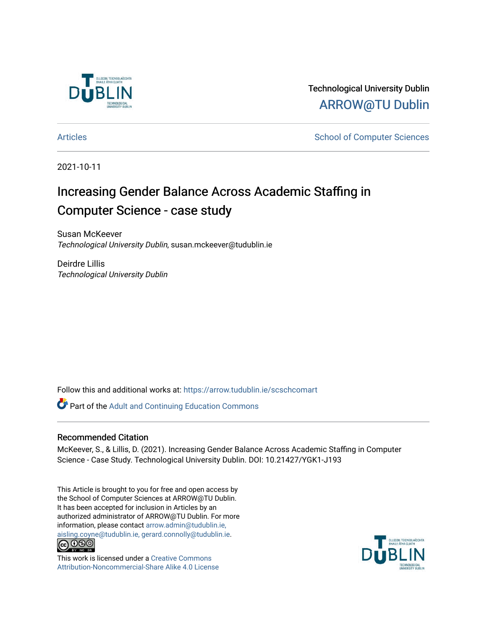

Technological University Dublin [ARROW@TU Dublin](https://arrow.tudublin.ie/) 

[Articles](https://arrow.tudublin.ie/scschcomart) **School of Computer Sciences** School of Computer Sciences

2021-10-11

# Increasing Gender Balance Across Academic Staffing in Computer Science - case study

Susan McKeever Technological University Dublin, susan.mckeever@tudublin.ie

Deirdre Lillis Technological University Dublin

Follow this and additional works at: [https://arrow.tudublin.ie/scschcomart](https://arrow.tudublin.ie/scschcomart?utm_source=arrow.tudublin.ie%2Fscschcomart%2F115&utm_medium=PDF&utm_campaign=PDFCoverPages)

**Part of the Adult and Continuing Education Commons** 

## Recommended Citation

McKeever, S., & Lillis, D. (2021). Increasing Gender Balance Across Academic Staffing in Computer Science - Case Study. Technological University Dublin. DOI: 10.21427/YGK1-J193

This Article is brought to you for free and open access by the School of Computer Sciences at ARROW@TU Dublin. It has been accepted for inclusion in Articles by an authorized administrator of ARROW@TU Dublin. For more information, please contact [arrow.admin@tudublin.ie,](mailto:arrow.admin@tudublin.ie,%20aisling.coyne@tudublin.ie,%20gerard.connolly@tudublin.ie)  [aisling.coyne@tudublin.ie, gerard.connolly@tudublin.ie](mailto:arrow.admin@tudublin.ie,%20aisling.coyne@tudublin.ie,%20gerard.connolly@tudublin.ie).<br>
co 000



This work is licensed under a [Creative Commons](http://creativecommons.org/licenses/by-nc-sa/4.0/) [Attribution-Noncommercial-Share Alike 4.0 License](http://creativecommons.org/licenses/by-nc-sa/4.0/)

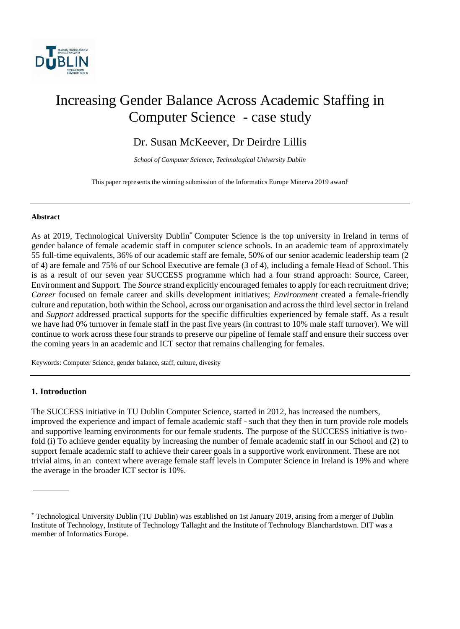

# Increasing Gender Balance Across Academic Staffing in Computer Science - case study

# Dr. Susan McKeever, Dr Deirdre Lillis

*School of Computer Sciemce, Technological University Dublin*

This paper represents the winning submission of the Informatics Europe Minerva 2019 award<sup>i</sup>

#### **Abstract**

As at 2019, Technological University Dublin\* Computer Science is the top university in Ireland in terms of gender balance of female academic staff in computer science schools. In an academic team of approximately 55 full-time equivalents, 36% of our academic staff are female, 50% of our senior academic leadership team (2 of 4) are female and 75% of our School Executive are female (3 of 4), including a female Head of School. This is as a result of our seven year SUCCESS programme which had a four strand approach: Source, Career, Environment and Support. The *Source* strand explicitly encouraged females to apply for each recruitment drive; *Career* focused on female career and skills development initiatives; *Environment* created a female-friendly culture and reputation, both within the School, across our organisation and across the third level sector in Ireland and *Support* addressed practical supports for the specific difficulties experienced by female staff. As a result we have had 0% turnover in female staff in the past five years (in contrast to 10% male staff turnover). We will continue to work across these four strands to preserve our pipeline of female staff and ensure their success over the coming years in an academic and ICT sector that remains challenging for females.

Keywords: Computer Science, gender balance, staff, culture, divesity

#### **1. Introduction**

The SUCCESS initiative in TU Dublin Computer Science, started in 2012, has increased the numbers, improved the experience and impact of female academic staff - such that they then in turn provide role models and supportive learning environments for our female students. The purpose of the SUCCESS initiative is twofold (i) To achieve gender equality by increasing the number of female academic staff in our School and (2) to support female academic staff to achieve their career goals in a supportive work environment. These are not trivial aims, in an context where average female staff levels in Computer Science in Ireland is 19% and where the average in the broader ICT sector is 10%.

<sup>\*</sup> Technological University Dublin (TU Dublin) was established on 1st January 2019, arising from a merger of Dublin Institute of Technology, Institute of Technology Tallaght and the Institute of Technology Blanchardstown. DIT was a member of Informatics Europe.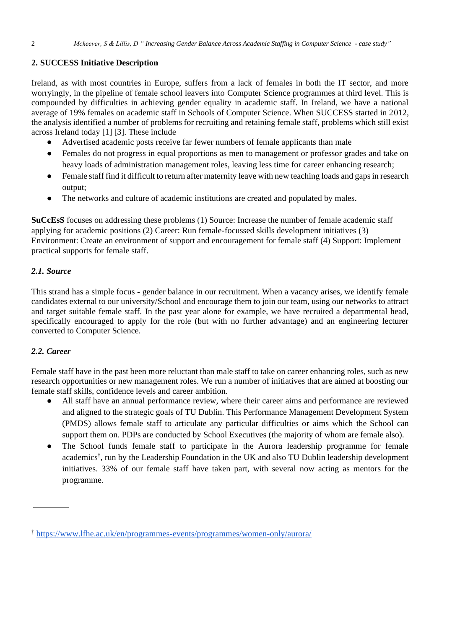## **2. SUCCESS Initiative Description**

Ireland, as with most countries in Europe, suffers from a lack of females in both the IT sector, and more worryingly, in the pipeline of female school leavers into Computer Science programmes at third level. This is compounded by difficulties in achieving gender equality in academic staff. In Ireland, we have a national average of 19% females on academic staff in Schools of Computer Science. When SUCCESS started in 2012, the analysis identified a number of problems for recruiting and retaining female staff, problems which still exist across Ireland today [1] [3]. These include

- Advertised academic posts receive far fewer numbers of female applicants than male
- Females do not progress in equal proportions as men to management or professor grades and take on heavy loads of administration management roles, leaving less time for career enhancing research;
- Female staff find it difficult to return after maternity leave with new teaching loads and gaps in research output;
- The networks and culture of academic institutions are created and populated by males.

**SuCcEsS** focuses on addressing these problems (1) Source: Increase the number of female academic staff applying for academic positions (2) Career: Run female-focussed skills development initiatives (3) Environment: Create an environment of support and encouragement for female staff (4) Support: Implement practical supports for female staff.

## *2.1. Source*

This strand has a simple focus - gender balance in our recruitment. When a vacancy arises, we identify female candidates external to our university/School and encourage them to join our team, using our networks to attract and target suitable female staff. In the past year alone for example, we have recruited a departmental head, specifically encouraged to apply for the role (but with no further advantage) and an engineering lecturer converted to Computer Science.

## *2.2. Career*

Female staff have in the past been more reluctant than male staff to take on career enhancing roles, such as new research opportunities or new management roles. We run a number of initiatives that are aimed at boosting our female staff skills, confidence levels and career ambition.

- All staff have an annual performance review, where their career aims and performance are reviewed and aligned to the strategic goals of TU Dublin. This Performance Management Development System (PMDS) allows female staff to articulate any particular difficulties or aims which the School can support them on. PDPs are conducted by School Executives (the majority of whom are female also).
- The School funds female staff to participate in the Aurora leadership programme for female academics† , run by the Leadership Foundation in the UK and also TU Dublin leadership development initiatives. 33% of our female staff have taken part, with several now acting as mentors for the programme.

<sup>†</sup> <https://www.lfhe.ac.uk/en/programmes-events/programmes/women-only/aurora/>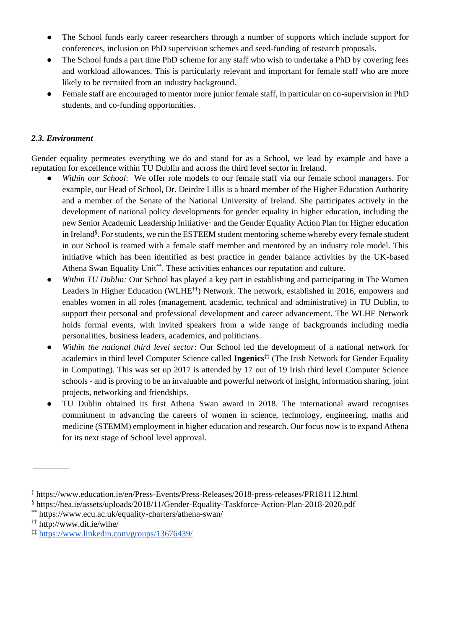- The School funds early career researchers through a number of supports which include support for conferences, inclusion on PhD supervision schemes and seed-funding of research proposals.
- The School funds a part time PhD scheme for any staff who wish to undertake a PhD by covering fees and workload allowances. This is particularly relevant and important for female staff who are more likely to be recruited from an industry background.
- Female staff are encouraged to mentor more junior female staff, in particular on co-supervision in PhD students, and co-funding opportunities.

## *2.3. Environment*

Gender equality permeates everything we do and stand for as a School, we lead by example and have a reputation for excellence within TU Dublin and across the third level sector in Ireland.

- Within our School: We offer role models to our female staff via our female school managers. For example, our Head of School, Dr. Deirdre Lillis is a board member of the Higher Education Authority and a member of the Senate of the National University of Ireland. She participates actively in the development of national policy developments for gender equality in higher education, including the new Senior Academic Leadership Initiative‡ and the Gender Equality Action Plan for Higher education in Ireland§ . For students, we run the ESTEEM student mentoring scheme whereby every female student in our School is teamed with a female staff member and mentored by an industry role model. This initiative which has been identified as best practice in gender balance activities by the UK-based Athena Swan Equality Unit\*\*. These activities enhances our reputation and culture.
- *Within TU Dublin:* Our School has played a key part in establishing and participating in The Women Leaders in Higher Education (WLHE††) Network. The network, established in 2016, empowers and enables women in all roles (management, academic, technical and administrative) in TU Dublin, to support their personal and professional development and career advancement. The WLHE Network holds formal events, with invited speakers from a wide range of backgrounds including media personalities, business leaders, academics, and politicians.
- *Within the national third level sector*: Our School led the development of a national network for academics in third level Computer Science called **Ingenics‡‡** (The Irish Network for Gender Equality in Computing). This was set up 2017 is attended by 17 out of 19 Irish third level Computer Science schools - and is proving to be an invaluable and powerful network of insight, information sharing, joint projects, networking and friendships.
- TU Dublin obtained its first Athena Swan award in 2018. The international award recognises commitment to advancing the careers of women in science, technology, engineering, maths and medicine (STEMM) employment in higher education and research. Our focus now is to expand Athena for its next stage of School level approval.

<sup>‡</sup> https://www.education.ie/en/Press-Events/Press-Releases/2018-press-releases/PR181112.html

<sup>§</sup> https://hea.ie/assets/uploads/2018/11/Gender-Equality-Taskforce-Action-Plan-2018-2020.pdf

<sup>\*\*</sup> https://www.ecu.ac.uk/equality-charters/athena-swan/

<sup>††</sup> http://www.dit.ie/wlhe/

<sup>‡‡</sup> <https://www.linkedin.com/groups/13676439/>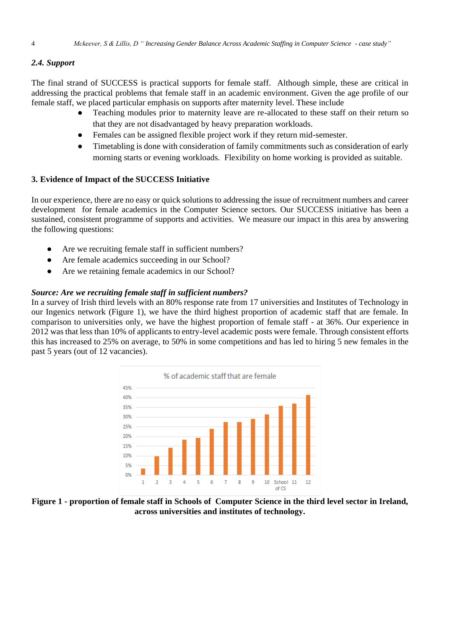### *2.4. Support*

The final strand of SUCCESS is practical supports for female staff. Although simple, these are critical in addressing the practical problems that female staff in an academic environment. Given the age profile of our female staff, we placed particular emphasis on supports after maternity level. These include

- Teaching modules prior to maternity leave are re-allocated to these staff on their return so that they are not disadvantaged by heavy preparation workloads.
- Females can be assigned flexible project work if they return mid-semester.
- Timetabling is done with consideration of family commitments such as consideration of early morning starts or evening workloads. Flexibility on home working is provided as suitable.

#### **3. Evidence of Impact of the SUCCESS Initiative**

In our experience, there are no easy or quick solutions to addressing the issue of recruitment numbers and career development for female academics in the Computer Science sectors. Our SUCCESS initiative has been a sustained, consistent programme of supports and activities. We measure our impact in this area by answering the following questions:

- Are we recruiting female staff in sufficient numbers?
- Are female academics succeeding in our School?
- Are we retaining female academics in our School?

#### *Source: Are we recruiting female staff in sufficient numbers?*

In a survey of Irish third levels with an 80% response rate from 17 universities and Institutes of Technology in our Ingenics network (Figure 1), we have the third highest proportion of academic staff that are female. In comparison to universities only, we have the highest proportion of female staff - at 36%. Our experience in 2012 was that less than 10% of applicants to entry-level academic posts were female. Through consistent efforts this has increased to 25% on average, to 50% in some competitions and has led to hiring 5 new females in the past 5 years (out of 12 vacancies).



**Figure 1 - proportion of female staff in Schools of Computer Science in the third level sector in Ireland, across universities and institutes of technology.**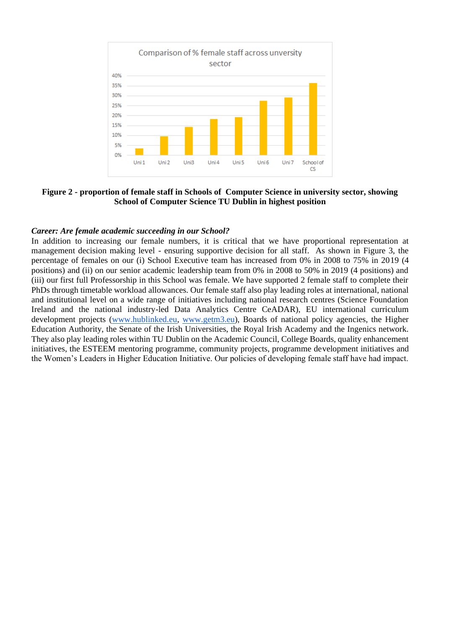

**Figure 2 - proportion of female staff in Schools of Computer Science in university sector, showing School of Computer Science TU Dublin in highest position**

#### *Career: Are female academic succeeding in our School?*

In addition to increasing our female numbers, it is critical that we have proportional representation at management decision making level - ensuring supportive decision for all staff. As shown in Figure 3, the percentage of females on our (i) School Executive team has increased from 0% in 2008 to 75% in 2019 (4 positions) and (ii) on our senior academic leadership team from 0% in 2008 to 50% in 2019 (4 positions) and (iii) our first full Professorship in this School was female. We have supported 2 female staff to complete their PhDs through timetable workload allowances. Our female staff also play leading roles at international, national and institutional level on a wide range of initiatives including national research centres (Science Foundation Ireland and the national industry-led Data Analytics Centre CeADAR), EU international curriculum development projects [\(www.hublinked.eu,](http://www.hublinked.eu/) [www.getm3.eu\)](http://www.getm3.eu/), Boards of national policy agencies, the Higher Education Authority, the Senate of the Irish Universities, the Royal Irish Academy and the Ingenics network. They also play leading roles within TU Dublin on the Academic Council, College Boards, quality enhancement initiatives, the ESTEEM mentoring programme, community projects, programme development initiatives and the Women's Leaders in Higher Education Initiative. Our policies of developing female staff have had impact.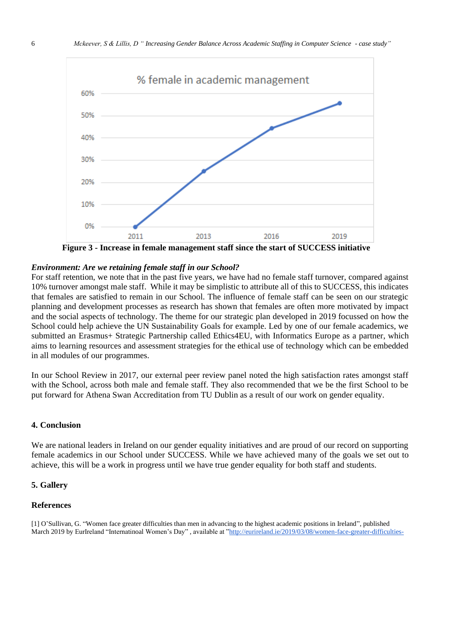

**Figure 3 - Increase in female management staff since the start of SUCCESS initiative** 

#### *Environment: Are we retaining female staff in our School?*

For staff retention, we note that in the past five years, we have had no female staff turnover, compared against 10% turnover amongst male staff. While it may be simplistic to attribute all of this to SUCCESS, this indicates that females are satisfied to remain in our School. The influence of female staff can be seen on our strategic planning and development processes as research has shown that females are often more motivated by impact and the social aspects of technology. The theme for our strategic plan developed in 2019 focussed on how the School could help achieve the UN Sustainability Goals for example. Led by one of our female academics, we submitted an Erasmus+ Strategic Partnership called Ethics4EU, with Informatics Europe as a partner, which aims to learning resources and assessment strategies for the ethical use of technology which can be embedded in all modules of our programmes.

In our School Review in 2017, our external peer review panel noted the high satisfaction rates amongst staff with the School, across both male and female staff. They also recommended that we be the first School to be put forward for Athena Swan Accreditation from TU Dublin as a result of our work on gender equality.

### **4. Conclusion**

We are national leaders in Ireland on our gender equality initiatives and are proud of our record on supporting female academics in our School under SUCCESS. While we have achieved many of the goals we set out to achieve, this will be a work in progress until we have true gender equality for both staff and students.

#### **5. Gallery**

#### **References**

[1] O'Sullivan, G. "Women face greater difficulties than men in advancing to the highest academic positions in Ireland", published March 2019 by EurIreland "Internatinoal Women's Day" , available at ["http://eurireland.ie/2019/03/08/women-face-greater-difficulties-](http://eurireland.ie/2019/03/08/women-face-greater-difficulties-than-men-in-advancing-to-the-highest-academic-positions-in-ireland/)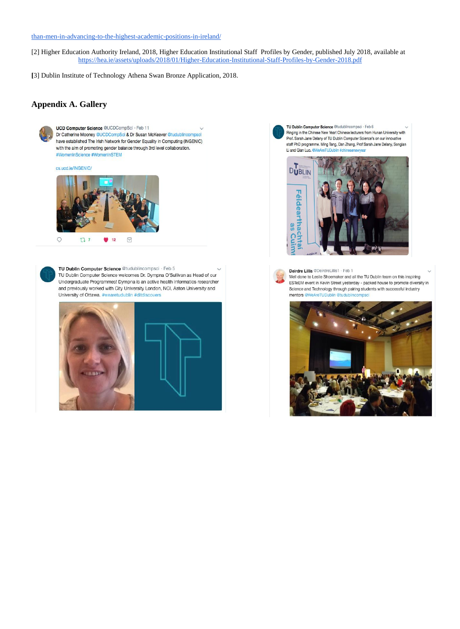#### [than-men-in-advancing-to-the-highest-academic-positions-in-ireland/](http://eurireland.ie/2019/03/08/women-face-greater-difficulties-than-men-in-advancing-to-the-highest-academic-positions-in-ireland/)

[2] Higher Education Authority Ireland, 2018, Higher Education Institutional Staff Profiles by Gender, published July 2018, available at <https://hea.ie/assets/uploads/2018/01/Higher-Education-Institutional-Staff-Profiles-by-Gender-2018.pdf>

**[**3] Dublin Institute of Technology Athena Swan Bronze Application, 2018.

#### **Appendix A. Gallery**



UCD Computer Science @UCDCompSci · Feb 11 Dr Catherine Mooney @UCDCompSci & Dr Susan McKeever @tudublincom have established The Irish Network for Gender Equality in Computing (INGENIC) with the aim of promoting gender balance through 3rd level collaboration. #WomenInScience #WomenInSTEM

#### cs.ucd.ie/INGENIC/



TU Dublin Computer Science @tudublincompsci · Feb 5 TU Dublin Computer Science welcomes Dr. Dympna O'Sullivan as Head of our Undergraduate Programmes! Dympna is an active health informatics researcher and previously worked with City University London, NCI, Aston University and University of Ottawa, #wearetudublin #ditdiscovers



TU Dublin Computer Science @tudublincompsci · Feb 6 Ringing in the Chinese New Year! Chinese lecturers from Hunan University with Prof. Sarah Jane Delany of TU Dublin Computer Science's on our innovative staff PhD programme. Ming Tang, Dan Zhang, Prof Sarah Jane Delany, Songlan Liand Oian Luo @WeAreTUD





Deirdre Lillis @DeirdreLillis1 · Feb 1 Well done to Leslie Shoemaker and all the TU Dublin team on this inspiring ESTeEM event in Kevin Street yesterday - packed house to promote diversity in Science and Technology through pairing students with successful industry

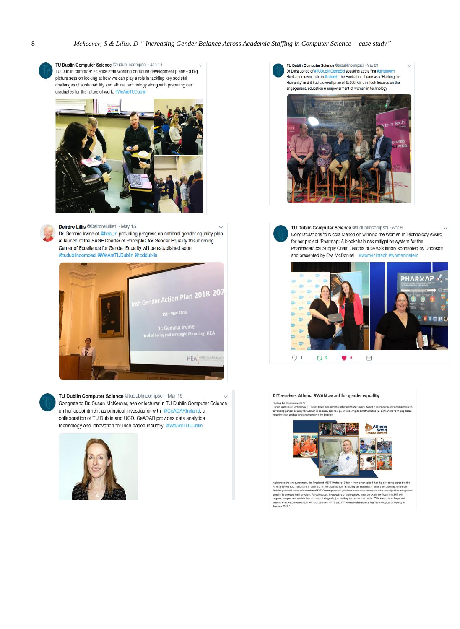

TU Dublin Computer Science @tudublincompsci · Jan 18 TU Dublin computer science staff working on future development plans - a big picture session looking at how we can play a role in tackling key societal challenges of sustainability and ethical technology along with preparing our graduates for the future of work. #WeAreTUDublin



Deirdre Lillis @DeirdreLillis1 · May 15

Dr. Gemma Irvine of @hea\_irl providing progress on national gender equality plan at launch of the SAGE Charter of Principles for Gender Equality this morning. Center of Excellence for Gender Equality will be established soon @tudublincompsci @WeAreTUDublin @tcddublin





TU Dublin Computer Science @tudublincompsci · Mar 19  $\sim$ Congrats to Dr. Susan McKeever, senior lecturer in TU Dublin Computer Science on her appointment as principal investigator with @CeADARIreland, a collaboration of TU Dublin and UCD, CeADAR provides data analytics technology and innovation for Irish based industry. @WeAreTUDublin



TU Dublin Computer Science @tudublincompsci · May 29 Dr Luca Longo of #TUDublinCompSci speaking at the first #girlsintech<br>Hackathon event held in #ireland. The Hackathon theme was 'Hacking for Humanity' and it had a overall prize of €2000! Girls in Tech focuses on the engagement, education & empowerment of women in technology



TU Dublin Computer Science @tudublincompsci · Apr 9 Congratulations to Nicola Mahon on winning the Women In Technology Award for her project 'Pharmap: A blockchain risk mitigation system for the Pharmaceutical Supply Chain'. Nicola prize was kindly sponsored by Docosoft and presented by Eva McDonnell. #womenintech #womeninstem



#### DIT receives Athena SWAN award for gender equality

ed: 28 September, 2018<br>in Institute of Technology r, at/10<br>Inology (DIT) has been awarded the Athena SWAN Bronze Award in re<br>ality for women in extense trademic recognition of its commitme<br>/CTCM\ and for bringing ab



Weveming the amouncement, the President of DJT Profession Brain Monthe markesade that the depathes agress in a<br>hitterial SWAN admission are a nealthing for the organization. Tradition our students, in all of their diversit Orne van val